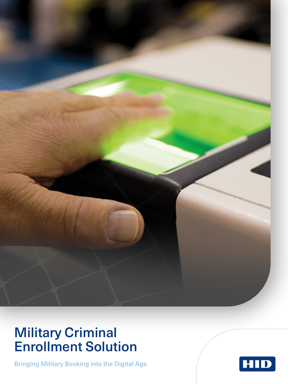

## Military Criminal Enrollment Solution

Bringing Military Booking into the Digital Age

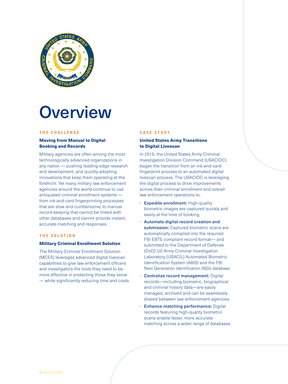

# **Overview**

#### **THE CHALLENGE**

#### Moving from Manual to Digital Booking and Records

Military agencies are often among the most technologically advanced organizations in any nation — pushing leading-edge research and development, and quickly adopting innovations that keep them operating at the forefront. Yet many military law enforcement agencies around the world continue to use antiquated criminal enrollment systems from ink-and-card fingerprinting processes that are slow and cumbersome, to manual record-keeping that cannot be linked with other databases and cannot provide instant, accurate matching and responses.

#### **THE SOLUTION**

#### Military Criminal Enrollment Solution

The Military Criminal Enrollment Solution (MCES) leverages advanced digital livescan capabilities to give law enforcement officers and investigators the tools they need to be more effective in protecting those they serve — while significantly reducing time and costs.

#### **CASE STUDY**

#### United States Army Transitions to Digital Livescan

In 2015, the United States Army Criminal Investigation Division Command (USACIDC) began the transition from an ink-and-card fingerprint process to an automated digital livescan process. The USACIDC is leveraging the digital process to drive improvements across their criminal enrollment and overall law enforcement operations to:

- Expedite enrollment: High-quality biometric images are captured quickly and easily at the time of booking.
- Automate digital record creation and submission: Captured biometric scans are automatically compiled into the required FBI EBTS compliant record format— and submitted to the Department of Defense (DoD) US Army Criminal Investigation Laboratory (USACIL) Automated Biometric Identification System (ABIS) and the FBI Next Generation Identification (NGI) database.
- Centralize record management: Digital records—including biometric, biographical and criminal history data—are easily managed, archived and can be seamlessly shared between law enforcement agencies.
- **Enhance matching performance: Digital** records featuring high-quality biometric scans enable faster, more accurate matching across a wider range of databases.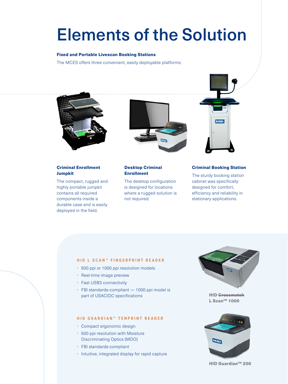# Elements of the Solution

#### Fixed and Portable Livescan Booking Stations

The MCES offers three convenient, easily deployable platforms:



### Criminal Enrollment Jumpkit

The compact, rugged and highly portable jumpkit contains all required components inside a durable case and is easily deployed in the field.



#### Desktop Criminal Enrollment

The desktop configuration is designed for locations where a rugged solution is not required.



#### Criminal Booking Station

The sturdy booking station cabinet was specifically designed for comfort, efficiency and reliability in stationary applications.

#### **HID L SCAN™ FINGERPRINT READER**

- 500 ppi or 1000 ppi resolution models
- Real-time image preview
- Fast USB3 connectivity
- FBI standards-compliant 1000 ppi model is part of USACIDC specifications

#### **HID GUARDIAN™ TENPRINT READER**

- Compact ergonomic design
- 500 ppi resolution with Moisture Discriminating Optics (MDO)
- FBI standards-compliant
- Intuitive, integrated display for rapid capture



**HID** Crossmatch L Scan™ 1000



HID Guardian™ 200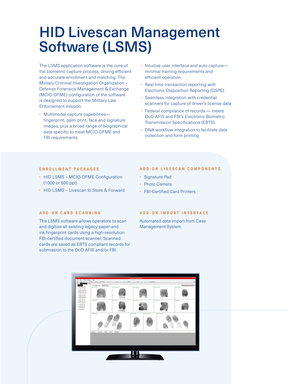## HID Livescan Management Software (LSMS)

The LSMS application software is the core of the biometric capture process, driving efficient and accurate enrollment and matching. The Military Criminal Investigation Organization – Defense Forensics Management & Exchange (MCIO-DFME) configuration of the software is designed to support the Military Law Enforcement mission.

- Multimodal capture capabilities fingerprint, palm print, face and signature images, plus a broad range of biographical data specific to meet MCIO-DFME and FBI requirements
- Intuitive user interface and auto captureminimal training requirements and efficient operation
- Real-time transaction reporting with Electronic Disposition Reporting (DSPE)
- Seamless integration with credential scanners for capture of driver's license data
- Federal compliance of records meets DoD AFIS and FBI's Electronic Biometric Transmission Specifications (EBTS).
- DNA workflow integration to facilitate data collection and form printing

#### **ENROLLMENT PACKAGES**

- HID LSMS MCIO-DFME Configuration (1000 or 500 ppi)
- HID LSMS Livescan to Store & Forward

#### **ADD-ON LIVESCAN COMPONENTS**

- Signature Pad
- Photo Camera
- FBI-Certified Card Printers

#### **ADD-ON CARD SCANNING**

The LSMS software allows operators to scan and digitize all existing legacy paper and ink fingerprint cards using a high-resolution FBI-certified document scanner. Scanned cards are saved as EBTS compliant records for submission to the DoD AFIS and/or FBI.

#### **ADD-ON IMPORT INTERFACE**

Automated data import from Case Management System

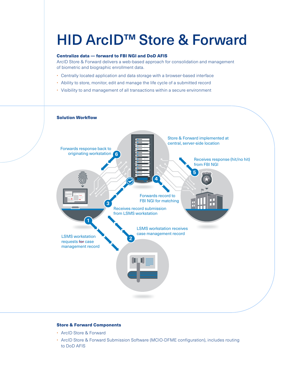# HID ArcID™ Store & Forward

### Centralize data — forward to FBI NGI and DoD AFIS

ArcID Store & Forward delivers a web-based approach for consolidation and management of biometric and biographic enrollment data.

- Centrally located application and data storage with a browser-based interface
- Ability to store, monitor, edit and manage the life cycle of a submitted record
- Visibility to and management of all transactions within a secure environment



#### Store & Forward Components

- ArcID Store & Forward
- ArcID Store & Forward Submission Software (MCIO-DFME configuration), includes routing to DoD AFIS